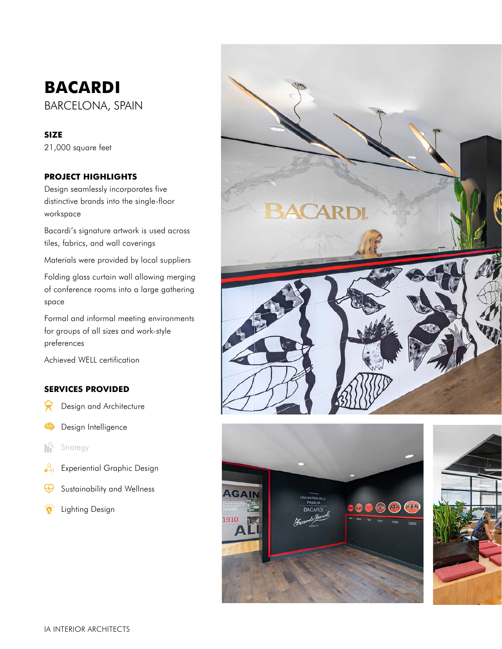## **BACARDI** BARCELONA, SPAIN

**SIZE**

21,000 square feet

## **PROJECT HIGHLIGHTS**

Design seamlessly incorporates five distinctive brands into the single-floor workspace

Bacardi's signature artwork is used across tiles, fabrics, and wall coverings

Materials were provided by local suppliers

Folding glass curtain wall allowing merging of conference rooms into a large gathering space

Formal and informal meeting environments for groups of all sizes and work-style preferences

Achieved WELL certification

## **SERVICES PROVIDED**

Design and Architecture ₩

- Design Intelligence
- Tř Strategy
- ┻ Experiential Graphic Design
- $\oplus$ Sustainability and Wellness

Lighting Design`ğʻ